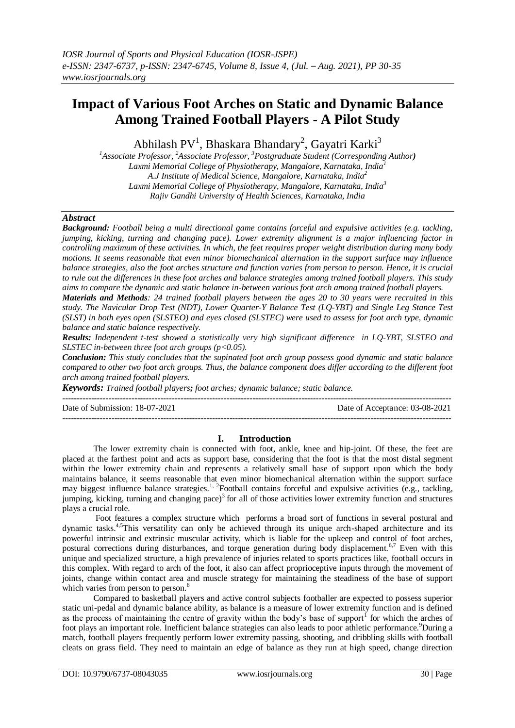# **Impact of Various Foot Arches on Static and Dynamic Balance Among Trained Football Players - A Pilot Study**

Abhilash PV<sup>1</sup>, Bhaskara Bhandary<sup>2</sup>, Gayatri Karki<sup>3</sup>

*<sup>1</sup>Associate Professor, <sup>2</sup>Associate Professor, <sup>3</sup>Postgraduate Student (Corresponding Author) Laxmi Memorial College of Physiotherapy, Mangalore, Karnataka, India<sup>1</sup> A.J Institute of Medical Science, Mangalore, Karnataka, India<sup>2</sup> Laxmi Memorial College of Physiotherapy, Mangalore, Karnataka, India<sup>3</sup> Rajiv Gandhi University of Health Sciences, Karnataka, India*

## *Abstract*

*Background: Football being a multi directional game contains forceful and expulsive activities (e.g. tackling, jumping, kicking, turning and changing pace). Lower extremity alignment is a major influencing factor in controlling maximum of these activities. In which, the feet requires proper weight distribution during many body motions. It seems reasonable that even minor biomechanical alternation in the support surface may influence balance strategies, also the foot arches structure and function varies from person to person. Hence, it is crucial to rule out the differences in these foot arches and balance strategies among trained football players. This study aims to compare the dynamic and static balance in-between various foot arch among trained football players.*

*Materials and Methods: 24 trained football players between the ages 20 to 30 years were recruited in this study. The Navicular Drop Test (NDT), Lower Quarter-Y Balance Test (LQ-YBT) and Single Leg Stance Test (SLST) in both eyes open (SLSTEO) and eyes closed (SLSTEC) were used to assess for foot arch type, dynamic balance and static balance respectively.* 

*Results: Independent t-test showed a statistically very high significant difference in LQ-YBT, SLSTEO and SLSTEC in-between three foot arch groups (p<0.05).*

*Conclusion: This study concludes that the supinated foot arch group possess good dynamic and static balance compared to other two foot arch groups. Thus, the balance component does differ according to the different foot arch among trained football players.* 

*Keywords: Trained football players; foot arches; dynamic balance; static balance.*

--------------------------------------------------------------------------------------------------------------------------------------- Date of Submission: 18-07-2021 Date of Acceptance: 03-08-2021 ---------------------------------------------------------------------------------------------------------------------------------------

#### **I. Introduction**

The lower extremity chain is connected with foot, ankle, knee and hip-joint. Of these, the feet are placed at the farthest point and acts as support base, considering that the foot is that the most distal segment within the lower extremity chain and represents a relatively small base of support upon which the body maintains balance, it seems reasonable that even minor biomechanical alternation within the support surface may biggest influence balance strategies.<sup>1, 2</sup>Football contains forceful and expulsive activities (e.g., tackling, jumping, kicking, turning and changing pace)<sup>3</sup> for all of those activities lower extremity function and structures plays a crucial role.

Foot features a complex structure which performs a broad sort of functions in several postural and dynamic tasks.4,5This versatility can only be achieved through its unique arch-shaped architecture and its powerful intrinsic and extrinsic muscular activity, which is liable for the upkeep and control of foot arches, postural corrections during disturbances, and torque generation during body displacement.<sup>6,7</sup> Even with this unique and specialized structure, a high prevalence of injuries related to sports practices like, football occurs in this complex. With regard to arch of the foot, it also can affect proprioceptive inputs through the movement of joints, change within contact area and muscle strategy for maintaining the steadiness of the base of support which varies from person to person.<sup>8</sup>

Compared to basketball players and active control subjects footballer are expected to possess superior static uni-pedal and dynamic balance ability, as balance is a measure of lower extremity function and is defined as the process of maintaining the centre of gravity within the body's base of support for which the arches of foot plays an important role. Inefficient balance strategies can also leads to poor athletic performance.<sup>9</sup>During a match, football players frequently perform lower extremity passing, shooting, and dribbling skills with football cleats on grass field. They need to maintain an edge of balance as they run at high speed, change direction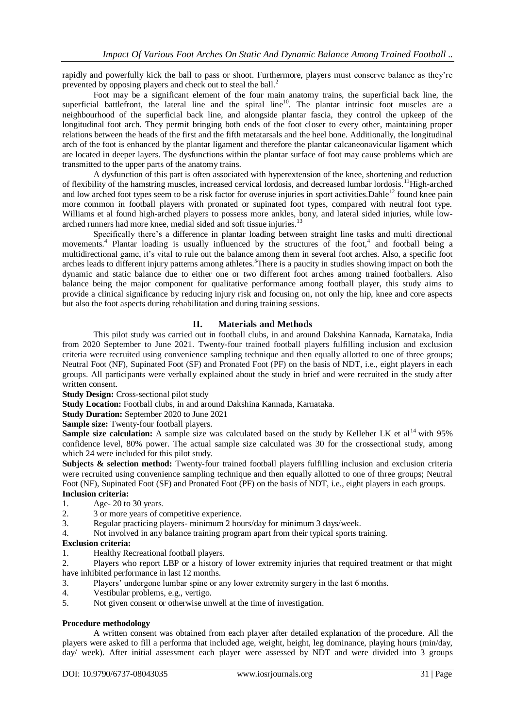rapidly and powerfully kick the ball to pass or shoot. Furthermore, players must conserve balance as they're prevented by opposing players and check out to steal the ball.<sup>2</sup>

Foot may be a significant element of the four main anatomy trains, the superficial back line, the superficial battlefront, the lateral line and the spiral line<sup>10</sup>. The plantar intrinsic foot muscles are a neighbourhood of the superficial back line, and alongside plantar fascia, they control the upkeep of the longitudinal foot arch. They permit bringing both ends of the foot closer to every other, maintaining proper relations between the heads of the first and the fifth metatarsals and the heel bone. Additionally, the longitudinal arch of the foot is enhanced by the plantar ligament and therefore the plantar calcaneonavicular ligament which are located in deeper layers. The dysfunctions within the plantar surface of foot may cause problems which are transmitted to the upper parts of the anatomy trains.

A dysfunction of this part is often associated with hyperextension of the knee, shortening and reduction of flexibility of the hamstring muscles, increased cervical lordosis, and decreased lumbar lordosis.<sup>11</sup>High-arched and low arched foot types seem to be a risk factor for overuse injuries in sport activities. Dahle<sup>12</sup> found knee pain more common in football players with pronated or supinated foot types, compared with neutral foot type. Williams et al found high-arched players to possess more ankles, bony, and lateral sided injuries, while lowarched runners had more knee, medial sided and soft tissue injuries.<sup>1</sup>

Specifically there's a difference in plantar loading between straight line tasks and multi directional movements.<sup>4</sup> Plantar loading is usually influenced by the structures of the foot,<sup>4</sup> and football being a multidirectional game, it's vital to rule out the balance among them in several foot arches. Also, a specific foot arches leads to different injury patterns among athletes.<sup>5</sup>There is a paucity in studies showing impact on both the dynamic and static balance due to either one or two different foot arches among trained footballers. Also balance being the major component for qualitative performance among football player, this study aims to provide a clinical significance by reducing injury risk and focusing on, not only the hip, knee and core aspects but also the foot aspects during rehabilitation and during training sessions.

## **II. Materials and Methods**

This pilot study was carried out in football clubs, in and around Dakshina Kannada, Karnataka, India from 2020 September to June 2021. Twenty-four trained football players fulfilling inclusion and exclusion criteria were recruited using convenience sampling technique and then equally allotted to one of three groups; Neutral Foot (NF), Supinated Foot (SF) and Pronated Foot (PF) on the basis of NDT, i.e., eight players in each groups. All participants were verbally explained about the study in brief and were recruited in the study after written consent.

**Study Design:** Cross-sectional pilot study

**Study Location:** Football clubs, in and around Dakshina Kannada, Karnataka.

**Study Duration:** September 2020 to June 2021

**Sample size:** Twenty-four football players.

**Sample size calculation:** A sample size was calculated based on the study by Kelleher LK et al<sup>14</sup> with 95% confidence level, 80% power. The actual sample size calculated was 30 for the crossectional study, among which 24 were included for this pilot study.

**Subjects & selection method:** Twenty-four trained football players fulfilling inclusion and exclusion criteria were recruited using convenience sampling technique and then equally allotted to one of three groups; Neutral Foot (NF), Supinated Foot (SF) and Pronated Foot (PF) on the basis of NDT, i.e., eight players in each groups.

## **Inclusion criteria:**

- 1. Age- 20 to 30 years.
- 2. 3 or more years of competitive experience.
- 3. Regular practicing players- minimum 2 hours/day for minimum 3 days/week.
- 4. Not involved in any balance training program apart from their typical sports training.

### **Exclusion criteria:**

1. Healthy Recreational football players.

2. Players who report LBP or a history of lower extremity injuries that required treatment or that might have inhibited performance in last 12 months.

- 3. Players' undergone lumbar spine or any lower extremity surgery in the last 6 months.
- 4. Vestibular problems, e.g., vertigo.
- 5. Not given consent or otherwise unwell at the time of investigation.

#### **Procedure methodology**

A written consent was obtained from each player after detailed explanation of the procedure. All the players were asked to fill a performa that included age, weight, height, leg dominance, playing hours (min/day, day/ week). After initial assessment each player were assessed by NDT and were divided into 3 groups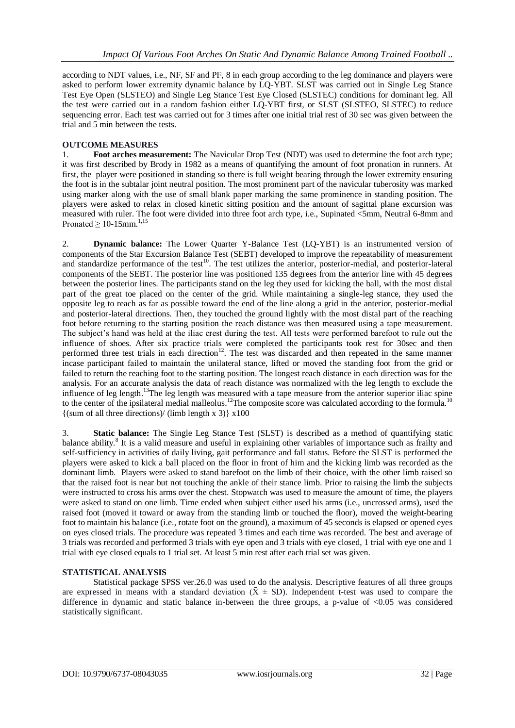according to NDT values, i.e., NF, SF and PF, 8 in each group according to the leg dominance and players were asked to perform lower extremity dynamic balance by LQ-YBT. SLST was carried out in Single Leg Stance Test Eye Open (SLSTEO) and Single Leg Stance Test Eye Closed (SLSTEC) conditions for dominant leg. All the test were carried out in a random fashion either LQ-YBT first, or SLST (SLSTEO, SLSTEC) to reduce sequencing error. Each test was carried out for 3 times after one initial trial rest of 30 sec was given between the trial and 5 min between the tests.

## **OUTCOME MEASURES**

1. **Foot arches measurement:** The Navicular Drop Test (NDT) was used to determine the foot arch type; it was first described by Brody in 1982 as a means of quantifying the amount of foot pronation in runners. At first, the player were positioned in standing so there is full weight bearing through the lower extremity ensuring the foot is in the subtalar joint neutral position. The most prominent part of the navicular tuberosity was marked using marker along with the use of small blank paper marking the same prominence in standing position. The players were asked to relax in closed kinetic sitting position and the amount of sagittal plane excursion was measured with ruler. The foot were divided into three foot arch type, i.e., Supinated <5mm, Neutral 6-8mm and Pronated  $\geq 10$ -15mm.<sup>1,15</sup>

2. **Dynamic balance:** The Lower Quarter Y-Balance Test (LQ-YBT) is an instrumented version of components of the Star Excursion Balance Test (SEBT) developed to improve the repeatability of measurement and standardize performance of the test<sup>10</sup>. The test utilizes the anterior, posterior-medial, and posterior-lateral components of the SEBT. The posterior line was positioned 135 degrees from the anterior line with 45 degrees between the posterior lines. The participants stand on the leg they used for kicking the ball, with the most distal part of the great toe placed on the center of the grid. While maintaining a single-leg stance, they used the opposite leg to reach as far as possible toward the end of the line along a grid in the anterior, posterior-medial and posterior-lateral directions. Then, they touched the ground lightly with the most distal part of the reaching foot before returning to the starting position the reach distance was then measured using a tape measurement. The subject's hand was held at the iliac crest during the test. All tests were performed barefoot to rule out the influence of shoes. After six practice trials were completed the participants took rest for 30sec and then performed three test trials in each direction<sup>12</sup>. The test was discarded and then repeated in the same manner incase participant failed to maintain the unilateral stance, lifted or moved the standing foot from the grid or failed to return the reaching foot to the starting position. The longest reach distance in each direction was for the analysis. For an accurate analysis the data of reach distance was normalized with the leg length to exclude the influence of leg length.<sup>13</sup>The leg length was measured with a tape measure from the anterior superior iliac spine to the center of the ipsilateral medial malleolus.<sup>12</sup>The composite score was calculated according to the formula.<sup>10</sup>  $\{(\text{sum of all three directions})\}$  (limb length x 3)  $\{x100\}$ 

3. **Static balance:** The Single Leg Stance Test (SLST) is described as a method of quantifying static balance ability.<sup>8</sup> It is a valid measure and useful in explaining other variables of importance such as frailty and self-sufficiency in activities of daily living, gait performance and fall status. Before the SLST is performed the players were asked to kick a ball placed on the floor in front of him and the kicking limb was recorded as the dominant limb. Players were asked to stand barefoot on the limb of their choice, with the other limb raised so that the raised foot is near but not touching the ankle of their stance limb. Prior to raising the limb the subjects were instructed to cross his arms over the chest. Stopwatch was used to measure the amount of time, the players were asked to stand on one limb. Time ended when subject either used his arms (i.e., uncrossed arms), used the raised foot (moved it toward or away from the standing limb or touched the floor), moved the weight-bearing foot to maintain his balance (i.e., rotate foot on the ground), a maximum of 45 seconds is elapsed or opened eyes on eyes closed trials. The procedure was repeated 3 times and each time was recorded. The best and average of 3 trials was recorded and performed 3 trials with eye open and 3 trials with eye closed, 1 trial with eye one and 1 trial with eye closed equals to 1 trial set. At least 5 min rest after each trial set was given.

## **STATISTICAL ANALYSIS**

Statistical package SPSS ver.26.0 was used to do the analysis. Descriptive features of all three groups are expressed in means with a standard deviation  $(\bar{X} \pm SD)$ . Independent t-test was used to compare the difference in dynamic and static balance in-between the three groups, a p-value of <0.05 was considered statistically significant.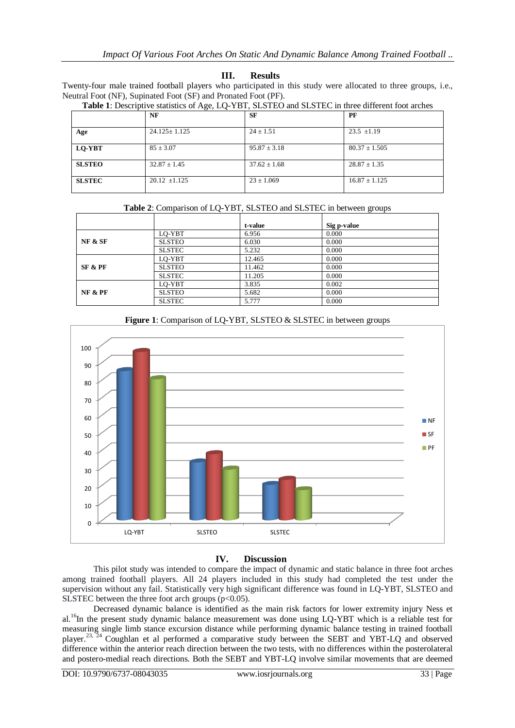## **III. Results**

Twenty-four male trained football players who participated in this study were allocated to three groups, i.e., Neutral Foot (NF), Supinated Foot (SF) and Pronated Foot (PF).

|               | NF                 | <b>SF</b>        | PF                |
|---------------|--------------------|------------------|-------------------|
| Age           | $24.125 \pm 1.125$ | $24 \pm 1.51$    | $23.5 \pm 1.19$   |
| LQ-YBT        | $85 \pm 3.07$      | $95.87 \pm 3.18$ | $80.37 \pm 1.505$ |
| <b>SLSTEO</b> | $32.87 \pm 1.45$   | $37.62 \pm 1.68$ | $28.87 \pm 1.35$  |
| <b>SLSTEC</b> | $20.12 \pm 1.125$  | $23 \pm 1.069$   | $16.87 \pm 1.125$ |

|  |  |  | Table 1: Descriptive statistics of Age, LQ-YBT, SLSTEO and SLSTEC in three different foot arches |  |  |  |  |
|--|--|--|--------------------------------------------------------------------------------------------------|--|--|--|--|

| <b>Table 2:</b> Comparison of LQ-YBT, SLSTEO and SLSTEC in between groups |  |         |             |  |  |  |
|---------------------------------------------------------------------------|--|---------|-------------|--|--|--|
|                                                                           |  | t-value | Sig p-value |  |  |  |

|                    |               | t-value | Sig <i>p</i> -value |
|--------------------|---------------|---------|---------------------|
|                    | LQ-YBT        | 6.956   | 0.000               |
| <b>NF &amp; SF</b> | <b>SLSTEO</b> | 6.030   | 0.000               |
|                    | <b>SLSTEC</b> | 5.232   | 0.000               |
|                    | LO-YBT        | 12.465  | 0.000               |
| SF & PF            | <b>SLSTEO</b> | 11.462  | 0.000               |
|                    | <b>SLSTEC</b> | 11.205  | 0.000               |
|                    | LO-YBT        | 3.835   | 0.002               |
| <b>NF &amp; PF</b> | <b>SLSTEO</b> | 5.682   | 0.000               |
|                    | <b>SLSTEC</b> | 5.777   | 0.000               |



**Figure 1**: Comparison of LQ-YBT, SLSTEO & SLSTEC in between groups

#### **IV. Discussion**

This pilot study was intended to compare the impact of dynamic and static balance in three foot arches among trained football players. All 24 players included in this study had completed the test under the supervision without any fail. Statistically very high significant difference was found in LQ-YBT, SLSTEO and SLSTEC between the three foot arch groups  $(p<0.05)$ .

Decreased dynamic balance is identified as the main risk factors for lower extremity injury Ness et al.<sup>16</sup>In the present study dynamic balance measurement was done using LQ-YBT which is a reliable test for measuring single limb stance excursion distance while performing dynamic balance testing in trained football player.<sup>23,  $\frac{23}{24}$ </sup> Coughlan et al performed a comparative study between the SEBT and YBT-LQ and observed difference within the anterior reach direction between the two tests, with no differences within the posterolateral and postero-medial reach directions. Both the SEBT and YBT-LQ involve similar movements that are deemed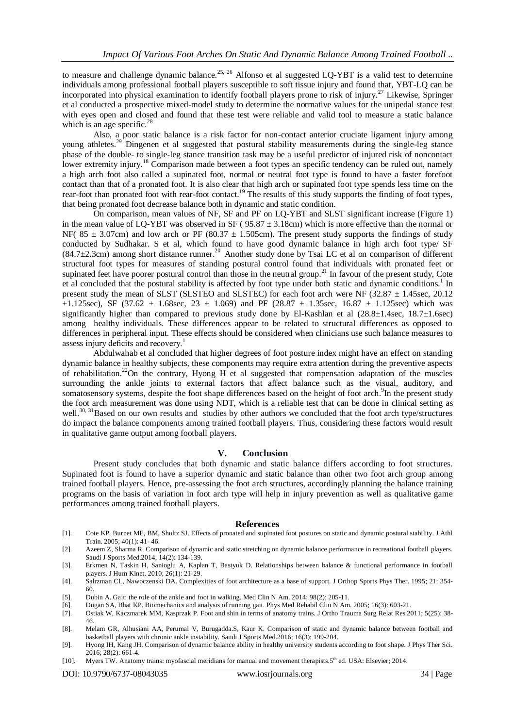to measure and challenge dynamic balance.<sup>25, 26</sup> Alfonso et al suggested LO-YBT is a valid test to determine individuals among professional football players susceptible to soft tissue injury and found that, YBT-LQ can be incorporated into physical examination to identify football players prone to risk of injury.<sup>27</sup> Likewise, Springer et al conducted a prospective mixed-model study to determine the normative values for the unipedal stance test with eyes open and closed and found that these test were reliable and valid tool to measure a static balance which is an age specific. $^{28}$ 

Also, a poor static balance is a risk factor for non-contact anterior cruciate ligament injury among young athletes.<sup>29</sup> Dingenen et al suggested that postural stability measurements during the single-leg stance phase of the double- to single-leg stance transition task may be a useful predictor of injured risk of noncontact lower extremity injury.<sup>18</sup> Comparison made between a foot types an specific tendency can be ruled out, namely a high arch foot also called a supinated foot, normal or neutral foot type is found to have a faster forefoot contact than that of a pronated foot. It is also clear that high arch or supinated foot type spends less time on the rear-foot than pronated foot with rear-foot contact.<sup>19</sup> The results of this study supports the finding of foot types, that being pronated foot decrease balance both in dynamic and static condition.

On comparison, mean values of NF, SF and PF on LQ-YBT and SLST significant increase (Figure 1) in the mean value of LQ-YBT was observed in SF ( $95.87 \pm 3.18$ cm) which is more effective than the normal or NF( $85 \pm 3.07$ cm) and low arch or PF ( $80.37 \pm 1.505$ cm). The present study supports the findings of study conducted by Sudhakar. S et al, which found to have good dynamic balance in high arch foot type/ SF  $(84.7 \pm 2.3$ cm) among short distance runner.<sup>20</sup> Another study done by Tsai LC et al on comparison of different structural foot types for measures of standing postural control found that individuals with pronated feet or supinated feet have poorer postural control than those in the neutral group.<sup>21</sup> In favour of the present study, Cote et al concluded that the postural stability is affected by foot type under both static and dynamic conditions.<sup>1</sup> In present study the mean of SLST (SLSTEO and SLSTEC) for each foot arch were NF (32.87  $\pm$  1.45sec, 20.12  $\pm 1.125$ sec), SF (37.62  $\pm$  1.68sec, 23  $\pm$  1.069) and PF (28.87  $\pm$  1.35sec, 16.87  $\pm$  1.125sec) which was significantly higher than compared to previous study done by El-Kashlan et al  $(28.8\pm1.4\text{ sec}, 18.7\pm1.6\text{ sec})$ among healthy individuals. These differences appear to be related to structural differences as opposed to differences in peripheral input. These effects should be considered when clinicians use such balance measures to assess injury deficits and recovery.<sup>1</sup>

Abdulwahab et al concluded that higher degrees of foot posture index might have an effect on standing dynamic balance in healthy subjects, these components may require extra attention during the preventive aspects of rehabilitation.<sup>22</sup>On the contrary, Hyong H et al suggested that compensation adaptation of the muscles surrounding the ankle joints to external factors that affect balance such as the visual, auditory, and somatosensory systems, despite the foot shape differences based on the height of foot arch.<sup>9</sup>In the present study the foot arch measurement was done using NDT, which is a reliable test that can be done in clinical setting as well.<sup>30, 31</sup>Based on our own results and studies by other authors we concluded that the foot arch type/structures do impact the balance components among trained football players. Thus, considering these factors would result in qualitative game output among football players.

#### **V. Conclusion**

Present study concludes that both dynamic and static balance differs according to foot structures. Supinated foot is found to have a superior dynamic and static balance than other two foot arch group among trained football players. Hence, pre-assessing the foot arch structures, accordingly planning the balance training programs on the basis of variation in foot arch type will help in injury prevention as well as qualitative game performances among trained football players.

#### **References**

- [1]. Cote KP, Burnet ME, BM, Shultz SJ. Effects of pronated and supinated foot postures on static and dynamic postural stability. J Athl Train. 2005; 40(1): 41- 46.
- [2]. Azeem Z, Sharma R. Comparison of dynamic and static stretching on dynamic balance performance in recreational football players. Saudi J Sports Med.2014; 14(2): 134-139.
- [3]. Erkmen N, Taskin H, Sanioglu A, Kaplan T, Bastyuk D. Relationships between balance & functional performance in football players. J Hum Kinet. 2010; 26(1): 21-29.
- [4]. Salrzman CL, Nawoczenski DA. Complexities of foot architecture as a base of support. J Orthop Sports Phys Ther. 1995; 21: 354- 60.
- [5]. Dubin A. Gait: the role of the ankle and foot in walking. Med Clin N Am. 2014; 98(2): 205-11.
- [6]. Dugan SA, Bhat KP. Biomechanics and analysis of running gait. Phys Med Rehabil Clin N Am. 2005; 16(3): 603-21.
- [7]. Ostiak W, Kaczmarek MM, Kasprzak P. Foot and shin in terms of anatomy trains. J Ortho Trauma Surg Relat Res.2011; 5(25): 38- 46.
- [8]. Melam GR, Alhusiani AA, Perumal V, Burugadda.S, Kaur K. Comparison of static and dynamic balance between football and basketball players with chronic ankle instability. Saudi J Sports Med.2016; 16(3): 199-204.
- [9]. Hyong IH, Kang JH. Comparison of dynamic balance ability in healthy university students according to foot shape. J Phys Ther Sci. 2016; 28(2): 661-4.
- [10]. Myers TW. Anatomy trains: myofascial meridians for manual and movement therapists.5<sup>th</sup> ed. USA: Elsevier; 2014.